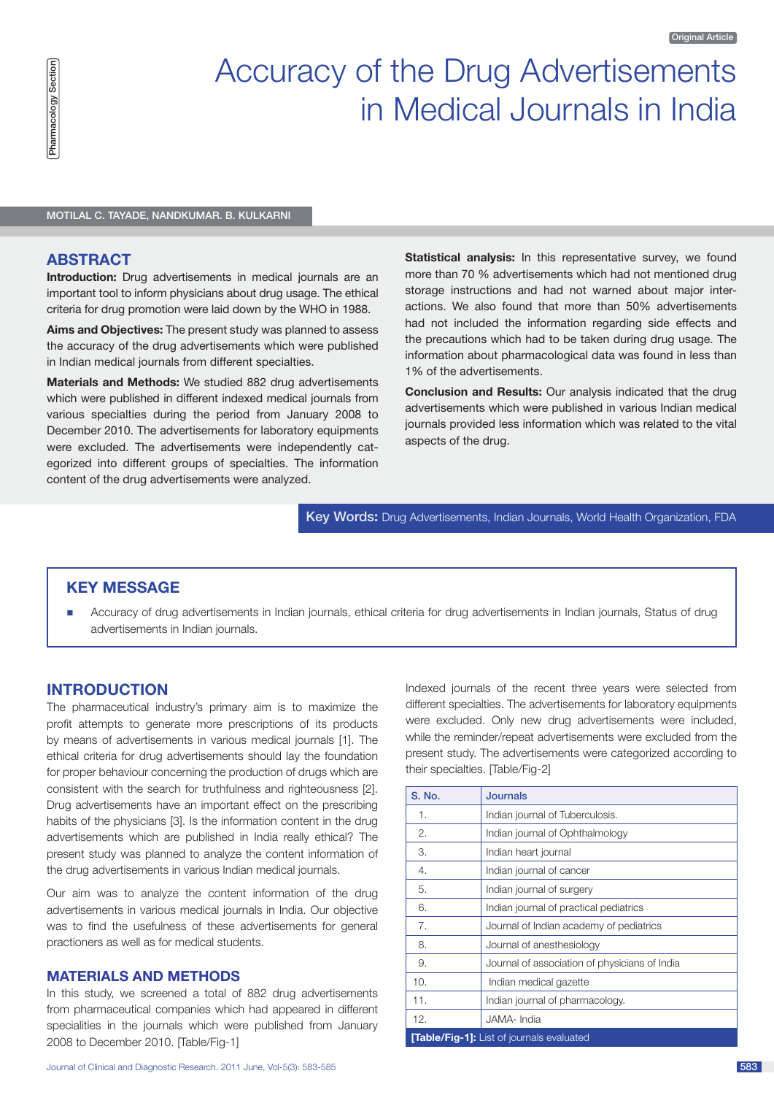

# Accuracy of the Drug Advertisements in Medical Journals in India

Motilal C. Tayade, Nandkumar. B. Kulkarni

### **Abstract**

**Introduction:** Drug advertisements in medical journals are an important tool to inform physicians about drug usage. The ethical criteria for drug promotion were laid down by the WHO in 1988.

**Aims and Objectives:** The present study was planned to assess the accuracy of the drug advertisements which were published in Indian medical journals from different specialties.

**Materials and Methods:** We studied 882 drug advertisements which were published in different indexed medical journals from various specialties during the period from January 2008 to December 2010. The advertisements for laboratory equipments were excluded. The advertisements were independently categorized into different groups of specialties. The information content of the drug advertisements were analyzed.

**Statistical analysis:** In this representative survey, we found more than 70 % advertisements which had not mentioned drug storage instructions and had not warned about major interactions. We also found that more than 50% advertisements had not included the information regarding side effects and the precautions which had to be taken during drug usage. The information about pharmacological data was found in less than 1% of the advertisements.

**Conclusion and Results:** Our analysis indicated that the drug advertisements which were published in various Indian medical journals provided less information which was related to the vital aspects of the drug.

Key Words**:** Drug Advertisements, Indian Journals, World Health Organization, FDA

# **KEY MESSAGE**

n Accuracy of drug advertisements in Indian journals, ethical criteria for drug advertisements in Indian journals, Status of drug advertisements in Indian journals.

# **Introduction**

The pharmaceutical industry's primary aim is to maximize the profit attempts to generate more prescriptions of its products by means of advertisements in various medical journals [1]. The ethical criteria for drug advertisements should lay the foundation for proper behaviour concerning the production of drugs which are consistent with the search for truthfulness and righteousness [2]. Drug advertisements have an important effect on the prescribing habits of the physicians [3]. Is the information content in the drug advertisements which are published in India really ethical? The present study was planned to analyze the content information of the drug advertisements in various Indian medical journals.

Our aim was to analyze the content information of the drug advertisements in various medical journals in India. Our objective was to find the usefulness of these advertisements for general practioners as well as for medical students.

# **MATERIALS AND METHODS**

In this study, we screened a total of 882 drug advertisements from pharmaceutical companies which had appeared in different specialities in the journals which were published from January 2008 to December 2010. [Table/Fig-1]

Indexed journals of the recent three years were selected from different specialties. The advertisements for laboratory equipments were excluded. Only new drug advertisements were included, while the reminder/repeat advertisements were excluded from the present study. The advertisements were categorized according to their specialties. [Table/Fig-2]

| S. No.                                    | <b>Journals</b>                               |  |  |  |
|-------------------------------------------|-----------------------------------------------|--|--|--|
| 1.                                        | Indian journal of Tuberculosis.               |  |  |  |
| 2.                                        | Indian journal of Ophthalmology               |  |  |  |
| 3.                                        | Indian heart journal                          |  |  |  |
| 4.                                        | Indian journal of cancer                      |  |  |  |
| 5.                                        | Indian journal of surgery                     |  |  |  |
| 6.                                        | Indian journal of practical pediatrics        |  |  |  |
| 7.                                        | Journal of Indian academy of pediatrics       |  |  |  |
| 8.                                        | Journal of anesthesiology                     |  |  |  |
| 9.                                        | Journal of association of physicians of India |  |  |  |
| 10.                                       | Indian medical gazette                        |  |  |  |
| 11.                                       | Indian journal of pharmacology.               |  |  |  |
| 12.                                       | JAMA-India                                    |  |  |  |
| [Table/Fig-1]: List of journals evaluated |                                               |  |  |  |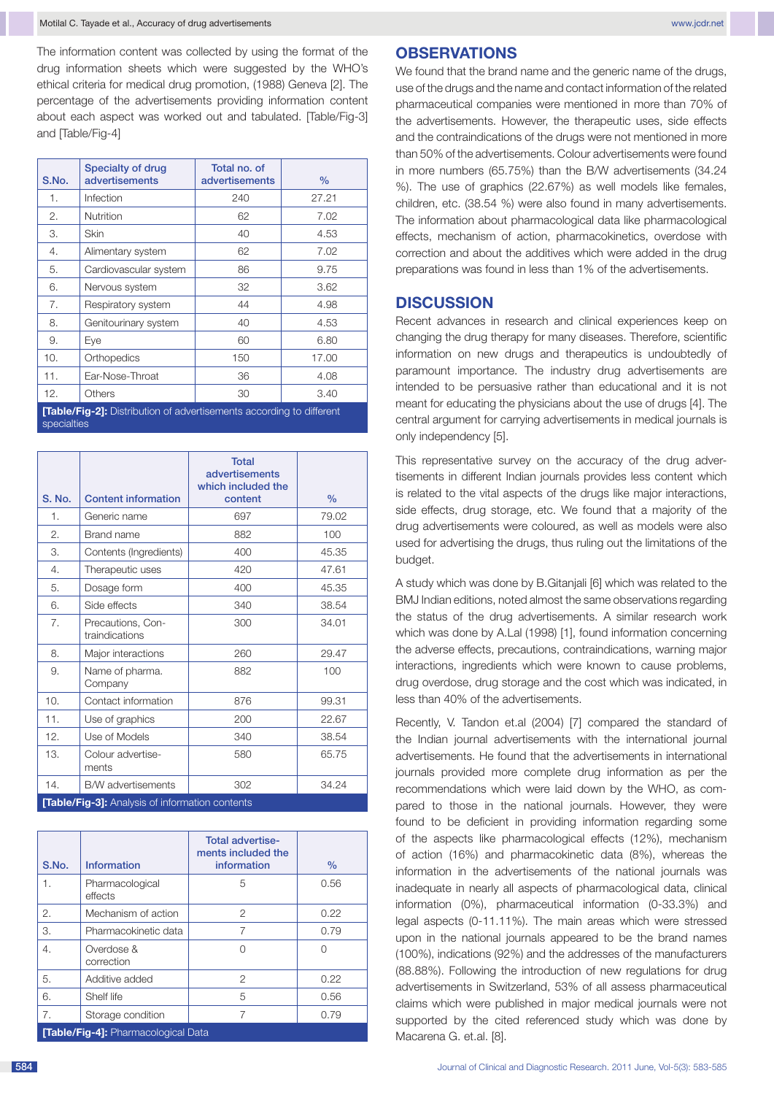The information content was collected by using the format of the drug information sheets which were suggested by the WHO's ethical criteria for medical drug promotion, (1988) Geneva [2]. The percentage of the advertisements providing information content about each aspect was worked out and tabulated. [Table/Fig-3] and [Table/Fig-4]

| S.No.                                                                       | <b>Specialty of drug</b><br>advertisements | Total no. of<br><b>advertisements</b> | $\%$  |  |
|-----------------------------------------------------------------------------|--------------------------------------------|---------------------------------------|-------|--|
| 1.                                                                          | Infection                                  | 240                                   | 27.21 |  |
| 2.                                                                          | Nutrition                                  | 62                                    | 7.02  |  |
| 3.                                                                          | Skin                                       | 40                                    | 4.53  |  |
| 4.                                                                          | Alimentary system                          | 62                                    | 7.02  |  |
| 5.                                                                          | Cardiovascular system                      | 86                                    | 9.75  |  |
| 6.                                                                          | Nervous system                             | 32                                    | 3.62  |  |
| 7.                                                                          | Respiratory system                         | 44                                    | 4.98  |  |
| 8.                                                                          | Genitourinary system                       | 40                                    | 4.53  |  |
| 9.                                                                          | Eve                                        | 60                                    | 6.80  |  |
| 10.                                                                         | Orthopedics                                | 150                                   | 17.00 |  |
| 11.                                                                         | Ear-Nose-Throat                            | 36                                    | 4.08  |  |
| 12.                                                                         | Others                                     | 30                                    | 3.40  |  |
| <b>[Table/Fig-2]:</b> Distribution of advertisements according to different |                                            |                                       |       |  |

specialties

|                                                 |                                     | <b>Total</b><br>advertisements<br>which included the |       |  |  |
|-------------------------------------------------|-------------------------------------|------------------------------------------------------|-------|--|--|
| S. No.                                          | <b>Content information</b>          | content                                              | $\%$  |  |  |
| 1.                                              | Generic name                        | 697                                                  | 79.02 |  |  |
| 2.                                              | <b>Brand name</b>                   | 882                                                  | 100   |  |  |
| 3.                                              | Contents (Ingredients)              | 400                                                  | 45.35 |  |  |
| 4.                                              | Therapeutic uses                    | 420                                                  | 47.61 |  |  |
| 5.                                              | Dosage form                         | 400                                                  | 45.35 |  |  |
| 6.                                              | Side effects                        | 340                                                  | 38.54 |  |  |
| 7.                                              | Precautions, Con-<br>traindications | 300                                                  | 34.01 |  |  |
| 8.                                              | Major interactions                  | 260                                                  | 29.47 |  |  |
| 9.                                              | Name of pharma.<br>Company          | 882                                                  | 100   |  |  |
| 10.                                             | Contact information                 | 876                                                  | 99.31 |  |  |
| 11.                                             | Use of graphics                     | 200                                                  | 22.67 |  |  |
| 12.                                             | Use of Models                       | 340                                                  | 38.54 |  |  |
| 13.                                             | Colour advertise-<br>ments          | 580                                                  | 65.75 |  |  |
| 14.                                             | B/W advertisements                  | 302                                                  | 34.24 |  |  |
| [Table/Fig-3]: Analysis of information contents |                                     |                                                      |       |  |  |

|                                     |                            | <b>Total advertise-</b><br>ments included the |               |  |  |
|-------------------------------------|----------------------------|-----------------------------------------------|---------------|--|--|
| S.No.                               | Information                | information                                   | $\frac{9}{6}$ |  |  |
| 1.                                  | Pharmacological<br>effects | 5                                             | 0.56          |  |  |
| 2.                                  | Mechanism of action        | 2                                             | 0.22          |  |  |
| 3.                                  | Pharmacokinetic data       |                                               | 0.79          |  |  |
| 4.                                  | Overdose &<br>correction   | Ω                                             |               |  |  |
| 5.                                  | Additive added             | 2                                             | 0.22          |  |  |
| 6.                                  | Shelf life                 | 5                                             | 0.56          |  |  |
| 7.                                  | Storage condition          | 7                                             | 0.79          |  |  |
| [Table/Fig-4]: Pharmacological Data |                            |                                               |               |  |  |

#### **Observations**

We found that the brand name and the generic name of the drugs, use of the drugs and the name and contact information of the related pharmaceutical companies were mentioned in more than 70% of the advertisements. However, the therapeutic uses, side effects and the contraindications of the drugs were not mentioned in more than 50% of the advertisements. Colour advertisements were found in more numbers (65.75%) than the B/W advertisements (34.24 %). The use of graphics (22.67%) as well models like females, children, etc. (38.54 %) were also found in many advertisements. The information about pharmacological data like pharmacological effects, mechanism of action, pharmacokinetics, overdose with correction and about the additives which were added in the drug preparations was found in less than 1% of the advertisements.

### **Discussion**

Recent advances in research and clinical experiences keep on changing the drug therapy for many diseases. Therefore, scientific information on new drugs and therapeutics is undoubtedly of paramount importance. The industry drug advertisements are intended to be persuasive rather than educational and it is not meant for educating the physicians about the use of drugs [4]. The central argument for carrying advertisements in medical journals is only independency [5].

This representative survey on the accuracy of the drug advertisements in different Indian journals provides less content which is related to the vital aspects of the drugs like major interactions, side effects, drug storage, etc. We found that a majority of the drug advertisements were coloured, as well as models were also used for advertising the drugs, thus ruling out the limitations of the budget.

A study which was done by B.Gitanjali [6] which was related to the BMJ Indian editions, noted almost the same observations regarding the status of the drug advertisements. A similar research work which was done by A.Lal (1998) [1], found information concerning the adverse effects, precautions, contraindications, warning major interactions, ingredients which were known to cause problems, drug overdose, drug storage and the cost which was indicated, in less than 40% of the advertisements.

Recently, V. Tandon et.al (2004) [7] compared the standard of the Indian journal advertisements with the international journal advertisements. He found that the advertisements in international journals provided more complete drug information as per the recommendations which were laid down by the WHO, as compared to those in the national journals. However, they were found to be deficient in providing information regarding some of the aspects like pharmacological effects (12%), mechanism of action (16%) and pharmacokinetic data (8%), whereas the information in the advertisements of the national journals was inadequate in nearly all aspects of pharmacological data, clinical information (0%), pharmaceutical information (0-33.3%) and legal aspects (0-11.11%). The main areas which were stressed upon in the national journals appeared to be the brand names (100%), indications (92%) and the addresses of the manufacturers (88.88%). Following the introduction of new regulations for drug advertisements in Switzerland, 53% of all assess pharmaceutical claims which were published in major medical journals were not supported by the cited referenced study which was done by Macarena G. et.al. [8].